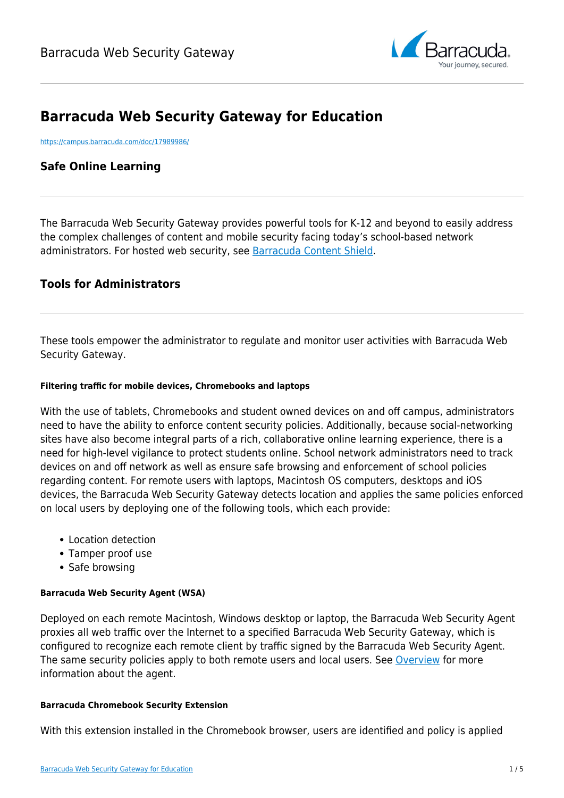

# **Barracuda Web Security Gateway for Education**

<https://campus.barracuda.com/doc/17989986/>

# **Safe Online Learning**

The Barracuda Web Security Gateway provides powerful tools for K-12 and beyond to easily address the complex challenges of content and mobile security facing today's school-based network administrators. For hosted web security, see [Barracuda Content Shield.](https://confluence.campus.cuda-inc.com/techlib/display/BEPS/Barracuda+Content+Shield+Overview)

# **Tools for Administrators**

These tools empower the administrator to regulate and monitor user activities with Barracuda Web Security Gateway.

### **Filtering traffic for mobile devices, Chromebooks and laptops**

With the use of tablets, Chromebooks and student owned devices on and off campus, administrators need to have the ability to enforce content security policies. Additionally, because social-networking sites have also become integral parts of a rich, collaborative online learning experience, there is a need for high-level vigilance to protect students online. School network administrators need to track devices on and off network as well as ensure safe browsing and enforcement of school policies regarding content. For remote users with laptops, Macintosh OS computers, desktops and iOS devices, the Barracuda Web Security Gateway detects location and applies the same policies enforced on local users by deploying one of the following tools, which each provide:

- Location detection
- Tamper proof use
- Safe browsing

### **Barracuda Web Security Agent (WSA)**

Deployed on each remote Macintosh, Windows desktop or laptop, the Barracuda Web Security Agent proxies all web traffic over the Internet to a specified Barracuda Web Security Gateway, which is configured to recognize each remote client by traffic signed by the Barracuda Web Security Agent. The same security policies apply to both remote users and local users. See [Overview](http://campus.barracuda.com/doc/41103089/) for more information about the agent.

### **Barracuda Chromebook Security Extension**

With this extension installed in the Chromebook browser, users are identified and policy is applied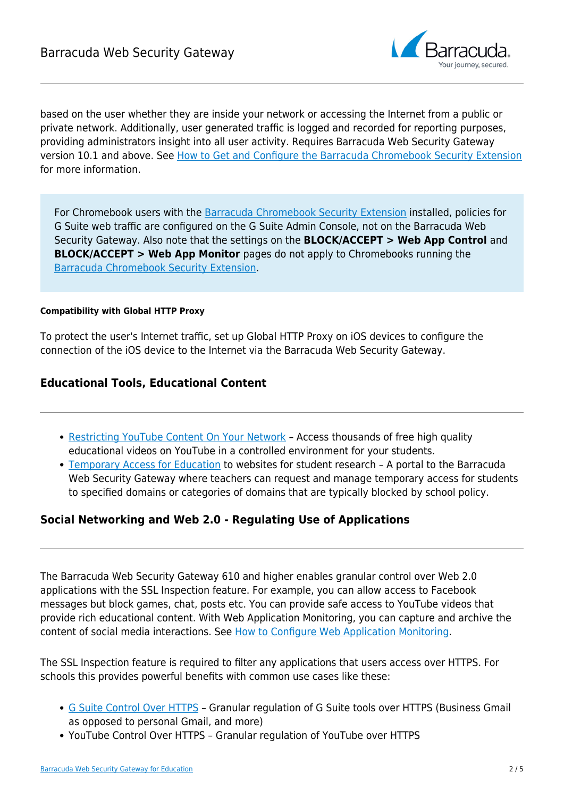

based on the user whether they are inside your network or accessing the Internet from a public or private network. Additionally, user generated traffic is logged and recorded for reporting purposes, providing administrators insight into all user activity. Requires Barracuda Web Security Gateway version 10.1 and above. See [How to Get and Configure the Barracuda Chromebook Security Extension](http://campus.barracuda.com/doc/49744111/) for more information.

For Chromebook users with the [Barracuda Chromebook Security Extension](https://techlib.barracuda.com/display/BWFv60/49744111) installed, policies for G Suite web traffic are configured on the G Suite Admin Console, not on the Barracuda Web Security Gateway. Also note that the settings on the **BLOCK/ACCEPT > Web App Control** and **BLOCK/ACCEPT > Web App Monitor** pages do not apply to Chromebooks running the [Barracuda Chromebook Security Extension](https://techlib.barracuda.com/display/BWFv60/49744111).

### **Compatibility with Global HTTP Proxy**

To protect the user's Internet traffic, set up Global HTTP Proxy on iOS devices to configure the connection of the iOS device to the Internet via the Barracuda Web Security Gateway.

# **Educational Tools, Educational Content**

- [Restricting YouTube Content On Your Network](http://campus.barracuda.com/doc/12192691/)  Access thousands of free high quality educational videos on YouTube in a controlled environment for your students.
- [Temporary Access for Education](http://campus.barracuda.com/doc/16679408/) to websites for student research A portal to the Barracuda Web Security Gateway where teachers can request and manage temporary access for students to specified domains or categories of domains that are typically blocked by school policy.

# **Social Networking and Web 2.0 - Regulating Use of Applications**

The Barracuda Web Security Gateway 610 and higher enables granular control over Web 2.0 applications with the SSL Inspection feature. For example, you can allow access to Facebook messages but block games, chat, posts etc. You can provide safe access to YouTube videos that provide rich educational content. With Web Application Monitoring, you can capture and archive the content of social media interactions. See [How to Configure Web Application Monitoring.](http://campus.barracuda.com/doc/41110327/)

The SSL Inspection feature is required to filter any applications that users access over HTTPS. For schools this provides powerful benefits with common use cases like these:

- [G Suite Control Over HTTPS](http://campus.barracuda.com/doc/17106182/)  Granular regulation of G Suite tools over HTTPS (Business Gmail as opposed to personal Gmail, and more)
- YouTube Control Over HTTPS Granular regulation of YouTube over HTTPS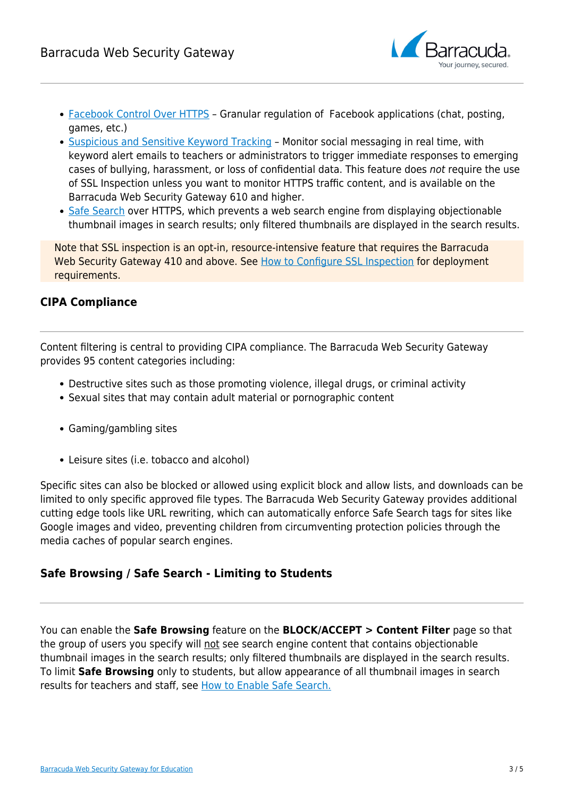

- [Facebook Control Over HTTPS](http://campus.barracuda.com/doc/17106244/)  Granular regulation of Facebook applications (chat, posting, games, etc.)
- [Suspicious and Sensitive Keyword Tracking](http://campus.barracuda.com/doc/17629457/) Monitor social messaging in real time, with keyword alert emails to teachers or administrators to trigger immediate responses to emerging cases of bullying, harassment, or loss of confidential data. This feature does not require the use of SSL Inspection unless you want to monitor HTTPS traffic content, and is available on the Barracuda Web Security Gateway 610 and higher.
- [Safe Search](http://campus.barracuda.com/doc/39819700/) over HTTPS, which prevents a web search engine from displaying objectionable thumbnail images in search results; only filtered thumbnails are displayed in the search results.

Note that SSL inspection is an opt-in, resource-intensive feature that requires the Barracuda Web Security Gateway 410 and above. See [How to Configure SSL Inspection](http://campus.barracuda.com/doc/49743542/) for deployment requirements.

# **CIPA Compliance**

Content filtering is central to providing CIPA compliance. The Barracuda Web Security Gateway provides 95 content categories including:

- Destructive sites such as those promoting violence, illegal drugs, or criminal activity
- Sexual sites that may contain adult material or pornographic content
- Gaming/gambling sites
- Leisure sites (i.e. tobacco and alcohol)

Specific sites can also be blocked or allowed using explicit block and allow lists, and downloads can be limited to only specific approved file types. The Barracuda Web Security Gateway provides additional cutting edge tools like URL rewriting, which can automatically enforce Safe Search tags for sites like Google images and video, preventing children from circumventing protection policies through the media caches of popular search engines.

# **Safe Browsing / Safe Search - Limiting to Students**

You can enable the **Safe Browsing** feature on the **BLOCK/ACCEPT > Content Filter** page so that the group of users you specify will not see search engine content that contains objectionable thumbnail images in the search results; only filtered thumbnails are displayed in the search results. To limit **Safe Browsing** only to students, but allow appearance of all thumbnail images in search results for teachers and staff, see [How to Enable Safe Search.](http://campus.barracuda.com/doc/39819700/)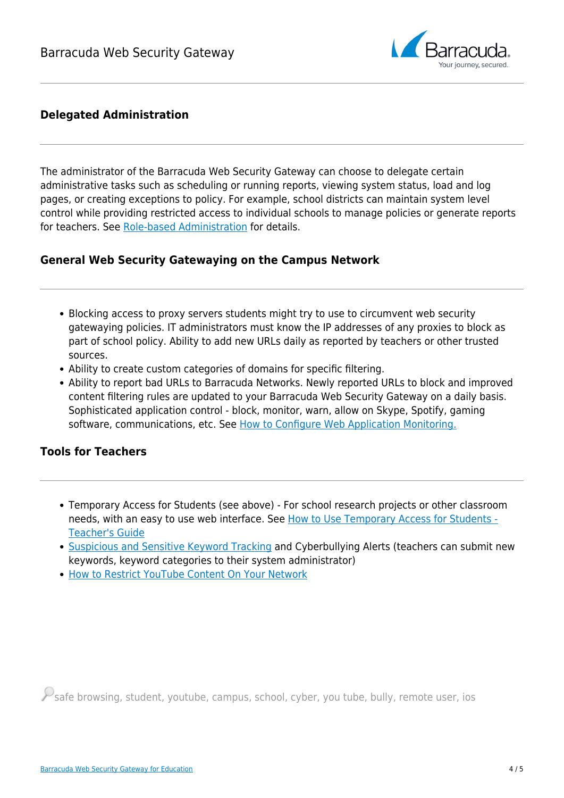

# **Delegated Administration**

The administrator of the Barracuda Web Security Gateway can choose to delegate certain administrative tasks such as scheduling or running reports, viewing system status, load and log pages, or creating exceptions to policy. For example, school districts can maintain system level control while providing restricted access to individual schools to manage policies or generate reports for teachers. See [Role-based Administration](http://campus.barracuda.com/doc/18449612/) for details.

# **General Web Security Gatewaying on the Campus Network**

- Blocking access to proxy servers students might try to use to circumvent web security gatewaying policies. IT administrators must know the IP addresses of any proxies to block as part of school policy. Ability to add new URLs daily as reported by teachers or other trusted sources.
- Ability to create custom categories of domains for specific filtering.
- Ability to report bad URLs to Barracuda Networks. Newly reported URLs to block and improved content filtering rules are updated to your Barracuda Web Security Gateway on a daily basis. Sophisticated application control - block, monitor, warn, allow on Skype, Spotify, gaming software, communications, etc. See [How to Configure Web Application Monitoring.](http://campus.barracuda.com/doc/41110327/)

# **Tools for Teachers**

- Temporary Access for Students (see above) For school research projects or other classroom needs, with an easy to use web interface. See [How to Use Temporary Access for Students -](http://campus.barracuda.com/doc/18448526/) [Teacher's Guide](http://campus.barracuda.com/doc/18448526/)
- [Suspicious and Sensitive Keyword Tracking](http://campus.barracuda.com/doc/17629457/) and Cyberbullying Alerts (teachers can submit new keywords, keyword categories to their system administrator)
- [How to Restrict YouTube Content On Your Network](http://campus.barracuda.com/doc/12192691/)

 $\mathcal{P}_{\textsf{safe}}$  browsing, student, youtube, campus, school, cyber, you tube, bully, remote user, ios